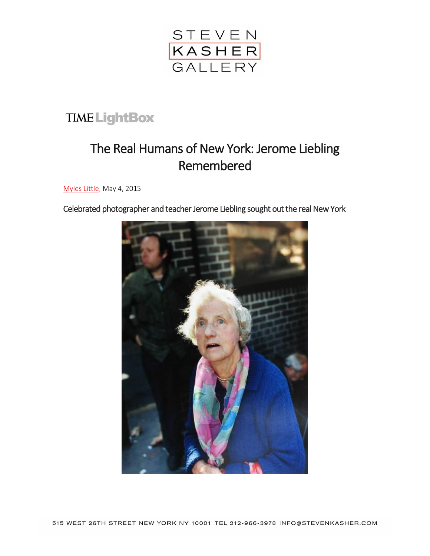

## **TIME LightBox**

## The Real Humans of New York: Jerome Liebling Remembered

[Myles Little,](http://time.com/author/myles-little/) May 4, 2015

Celebrated photographer and teacher Jerome Liebling sought out the real New York

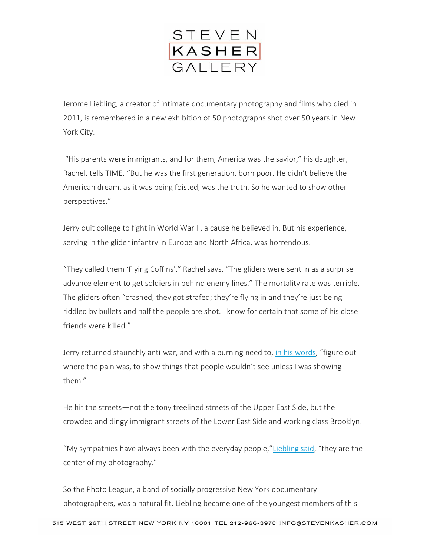

Jerome Liebling, a creator of intimate documentary photography and films who died in 2011, is remembered in a new exhibition of 50 photographs shot over 50 years in New York City.

"His parents were immigrants, and for them, America was the savior," his daughter, Rachel, tells TIME. "But he was the first generation, born poor. He didn't believe the American dream, as it was being foisted, was the truth. So he wanted to show other perspectives."

Jerry quit college to fight in World War II, a cause he believed in. But his experience, serving in the glider infantry in Europe and North Africa, was horrendous.

"They called them 'Flying Coffins'," Rachel says, "The gliders were sent in as a surprise advance element to get soldiers in behind enemy lines." The mortality rate was terrible. The gliders often "crashed, they got strafed; they're flying in and they're just being riddled by bullets and half the people are shot. I know for certain that some of his close friends were killed."

Jerry returned staunchly anti-war, and with a burning need to, [in his words](http://www.stevenkasher.com/exhibitions/jerome-liebling-brooklyn-and-other-boroughs-1946-1996), "figure out where the pain was, to show things that people wouldn't see unless I was showing them."

He hit the streets—not the tony treelined streets of the Upper East Side, but the crowded and dingy immigrant streets of the Lower East Side and working class Brooklyn.

"My sympathies have always been with the everyday people,"[Liebling said](http://www.jeromeliebling.com/), "they are the center of my photography."

So the Photo League, a band of socially progressive New York documentary photographers, was a natural fit. Liebling became one of the youngest members of this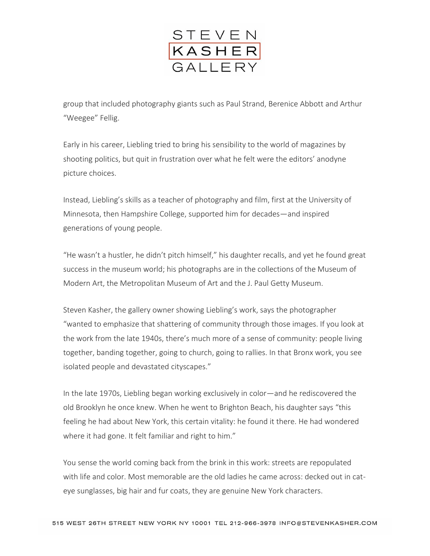

group that included photography giants such as Paul Strand, Berenice Abbott and Arthur "Weegee" Fellig.

Early in his career, Liebling tried to bring his sensibility to the world of magazines by shooting politics, but quit in frustration over what he felt were the editors' anodyne picture choices.

Instead, Liebling's skills as a teacher of photography and film, first at the University of Minnesota, then Hampshire College, supported him for decades—and inspired generations of young people.

"He wasn't a hustler, he didn't pitch himself," his daughter recalls, and yet he found great success in the museum world; his photographs are in the collections of the Museum of Modern Art, the Metropolitan Museum of Art and the J. Paul Getty Museum.

Steven Kasher, the gallery owner showing Liebling's work, says the photographer "wanted to emphasize that shattering of community through those images. If you look at the work from the late 1940s, there's much more of a sense of community: people living together, banding together, going to church, going to rallies. In that Bronx work, you see isolated people and devastated cityscapes."

In the late 1970s, Liebling began working exclusively in color—and he rediscovered the old Brooklyn he once knew. When he went to Brighton Beach, his daughter says "this feeling he had about New York, this certain vitality: he found it there. He had wondered where it had gone. It felt familiar and right to him."

You sense the world coming back from the brink in this work: streets are repopulated with life and color. Most memorable are the old ladies he came across: decked out in cateye sunglasses, big hair and fur coats, they are genuine New York characters.